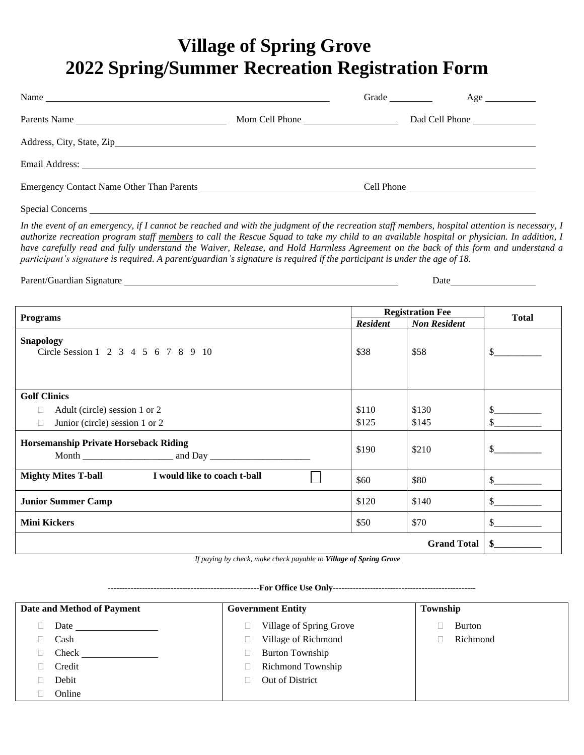## **Village of Spring Grove 2022 Spring/Summer Recreation Registration Form**

| Name $\frac{1}{\sqrt{1-\frac{1}{2}}\sqrt{1-\frac{1}{2}}\left(\frac{1}{2}-\frac{1}{2}\right)}$                                                                                                                                  |                | Grade | $Age \_$       |
|--------------------------------------------------------------------------------------------------------------------------------------------------------------------------------------------------------------------------------|----------------|-------|----------------|
| Parents Name                                                                                                                                                                                                                   | Mom Cell Phone |       | Dad Cell Phone |
|                                                                                                                                                                                                                                |                |       |                |
| Email Address: No. 2014 19:30 and 2014 19:30 and 2014 19:30 and 2014 19:30 and 2014 19:30 and 2014 19:30 and 2014 19:30 and 2014 19:30 and 2014 19:30 and 2014 19:30 and 2014 19:30 and 2014 19:30 and 2014 19:30 and 2014 19: |                |       |                |
| Emergency Contact Name Other Than Parents                                                                                                                                                                                      |                |       | Cell Phone     |
|                                                                                                                                                                                                                                |                |       |                |

Special Concerns

In the event of an emergency, if I cannot be reached and with the judgment of the recreation staff members, hospital attention is necessary, I *authorize recreation program staff members to call the Rescue Squad to take my child to an available hospital or physician. In addition, I have carefully read and fully understand the Waiver, Release, and Hold Harmless Agreement on the back of this form and understand a participant's signature is required. A parent/guardian's signature is required if the participant is under the age of 18.* 

Parent/Guardian Signature Date

| <b>Programs</b>                                         |       | <b>Registration Fee</b> |                                                                                                                                                                                                                                                                                                                                                                              |
|---------------------------------------------------------|-------|-------------------------|------------------------------------------------------------------------------------------------------------------------------------------------------------------------------------------------------------------------------------------------------------------------------------------------------------------------------------------------------------------------------|
|                                                         |       | <b>Non Resident</b>     | <b>Total</b>                                                                                                                                                                                                                                                                                                                                                                 |
| <b>Snapology</b><br>Circle Session 1 2 3 4 5 6 7 8 9 10 | \$38  | \$58                    | $\mathbb{S}$                                                                                                                                                                                                                                                                                                                                                                 |
| <b>Golf Clinics</b>                                     |       |                         |                                                                                                                                                                                                                                                                                                                                                                              |
| Adult (circle) session 1 or 2                           | \$110 | \$130                   | S.                                                                                                                                                                                                                                                                                                                                                                           |
| Junior (circle) session 1 or 2<br>$\Box$                | \$125 | \$145                   | $\mathbb{S}$                                                                                                                                                                                                                                                                                                                                                                 |
| <b>Horsemanship Private Horseback Riding</b>            |       | \$210                   | \$.                                                                                                                                                                                                                                                                                                                                                                          |
| Mighty Mites T-ball I would like to coach t-ball        | \$60  | \$80                    | $\frac{\S_{\frac{1}{2}}}{\S_{\frac{1}{2}}}{\S_{\frac{1}{2}}}{\S_{\frac{1}{2}}}{\S_{\frac{1}{2}}}{\S_{\frac{1}{2}}}{\S_{\frac{1}{2}}}{\S_{\frac{1}{2}}}{\S_{\frac{1}{2}}}{\S_{\frac{1}{2}}}{\S_{\frac{1}{2}}}{\S_{\frac{1}{2}}}{\S_{\frac{1}{2}}}{\S_{\frac{1}{2}}}{\S_{\frac{1}{2}}}{\S_{\frac{1}{2}}}{\S_{\frac{1}{2}}}{\S_{\frac{1}{2}}}{\S_{\frac{1}{2}}}{\S_{\frac{1}{2$ |
| <b>Junior Summer Camp</b>                               | \$120 | \$140                   | $\frac{\text{S}}{\text{S}}$                                                                                                                                                                                                                                                                                                                                                  |
| <b>Mini Kickers</b>                                     | \$50  | \$70                    | $\mathbb{S}$                                                                                                                                                                                                                                                                                                                                                                 |
| <b>Grand Total</b>                                      |       |                         |                                                                                                                                                                                                                                                                                                                                                                              |

 *If paying by check, make check payable to Village of Spring Grove*

**-----------------------------------------------------For Office Use Only--------------------------------------------------**

| Date and Method of Payment | <b>Government Entity</b> | Township |
|----------------------------|--------------------------|----------|
| Date                       | Village of Spring Grove  | Burton   |
| Cash                       | Village of Richmond      | Richmond |
| Check                      | <b>Burton Township</b>   |          |
| Credit                     | <b>Richmond Township</b> |          |
| Debit                      | Out of District          |          |
| Online                     |                          |          |